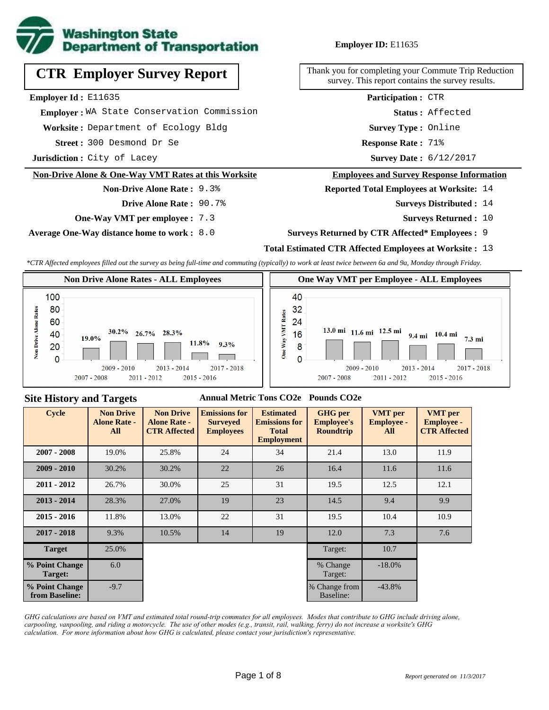

# **CTR Employer Survey Report**

**Employer Id :** E11635

 **Employer :** WA State Conservation Commission

**Worksite :** Department of Ecology Bldg

300 Desmond Dr Se **Response Rate : Street :**

**Jurisdiction :** City of Lacey

#### **Non-Drive Alone & One-Way VMT Rates at this Worksite**

**Non-Drive Alone Rate :** 9.3%

**Drive Alone Rate :** 90.7%

**One-Way VMT per employee :** 7.3

**Average One-Way distance home to work :** 8.0

#### **Employer ID:** E11635

Thank you for completing your Commute Trip Reduction survey. This report contains the survey results.

**Participation :** CTR

**Status :** Affected

**Survey Type :** Online

Response Rate: 71%

Survey Date: 6/12/2017

#### **Employees and Survey Response Information**

**Reported Total Employees at Worksite:** 14

- Surveys Distributed : 14
	- **Surveys Returned :** 10

#### **Surveys Returned by CTR Affected\* Employees :** 9

#### **Total Estimated CTR Affected Employees at Worksite :** 13

*\*CTR Affected employees filled out the survey as being full-time and commuting (typically) to work at least twice between 6a and 9a, Monday through Friday.*



#### **Site History and Targets**

#### **Annual Metric Tons CO2e Pounds CO2e**

| <b>Cycle</b>                     | <b>Non Drive</b><br><b>Alone Rate -</b><br><b>All</b> | <b>Non Drive</b><br><b>Alone Rate -</b><br><b>CTR Affected</b> | <b>Emissions for</b><br><b>Surveyed</b><br><b>Employees</b> | <b>Estimated</b><br><b>Emissions for</b><br><b>Total</b><br><b>Employment</b> | <b>GHG</b> per<br><b>Employee's</b><br><b>Roundtrip</b> | <b>VMT</b> per<br><b>Employee -</b><br>All | <b>VMT</b> per<br><b>Employee -</b><br><b>CTR Affected</b> |
|----------------------------------|-------------------------------------------------------|----------------------------------------------------------------|-------------------------------------------------------------|-------------------------------------------------------------------------------|---------------------------------------------------------|--------------------------------------------|------------------------------------------------------------|
| $2007 - 2008$                    | 19.0%                                                 | 25.8%                                                          | 24                                                          | 34                                                                            | 21.4                                                    | 13.0                                       | 11.9                                                       |
| $2009 - 2010$                    | 30.2%                                                 | 30.2%                                                          | 22                                                          | 26                                                                            | 16.4                                                    | 11.6                                       | 11.6                                                       |
| $2011 - 2012$                    | 26.7%                                                 | 30.0%                                                          | 25                                                          | 31                                                                            | 19.5                                                    | 12.5                                       | 12.1                                                       |
| $2013 - 2014$                    | 28.3%                                                 | 27.0%                                                          | 19                                                          | 23                                                                            | 14.5                                                    | 9.4                                        | 9.9                                                        |
| $2015 - 2016$                    | 11.8%                                                 | 13.0%                                                          | 22                                                          | 31                                                                            | 19.5                                                    | 10.4                                       | 10.9                                                       |
| $2017 - 2018$                    | 9.3%                                                  | 10.5%                                                          | 14                                                          | 19                                                                            | 12.0                                                    | 7.3                                        | 7.6                                                        |
| <b>Target</b>                    | 25.0%                                                 |                                                                |                                                             |                                                                               | Target:                                                 | 10.7                                       |                                                            |
| % Point Change<br>Target:        | 6.0                                                   |                                                                |                                                             |                                                                               | % Change<br>Target:                                     | $-18.0\%$                                  |                                                            |
| % Point Change<br>from Baseline: | $-9.7$                                                |                                                                |                                                             |                                                                               | % Change from<br>Baseline:                              | $-43.8%$                                   |                                                            |

*GHG calculations are based on VMT and estimated total round-trip commutes for all employees. Modes that contribute to GHG include driving alone, carpooling, vanpooling, and riding a motorcycle. The use of other modes (e.g., transit, rail, walking, ferry) do not increase a worksite's GHG calculation. For more information about how GHG is calculated, please contact your jurisdiction's representative.*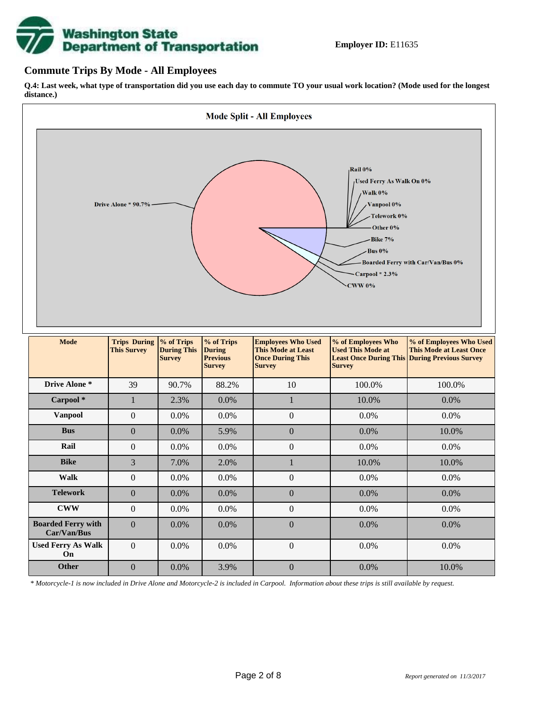# **Washington State<br>Department of Transportation**

#### **Commute Trips By Mode - All Employees**

**Q.4: Last week, what type of transportation did you use each day to commute TO your usual work location? (Mode used for the longest distance.)**



*\* Motorcycle-1 is now included in Drive Alone and Motorcycle-2 is included in Carpool. Information about these trips is still available by request.*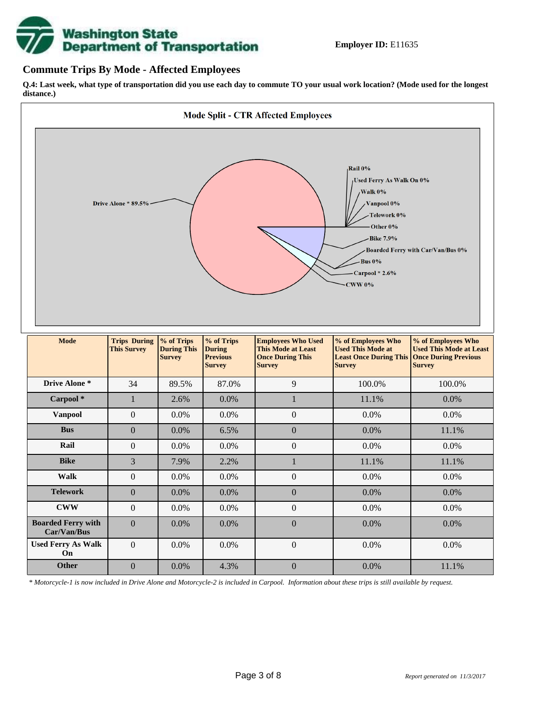

#### **Commute Trips By Mode - Affected Employees**

**Q.4: Last week, what type of transportation did you use each day to commute TO your usual work location? (Mode used for the longest distance.)**



*\* Motorcycle-1 is now included in Drive Alone and Motorcycle-2 is included in Carpool. Information about these trips is still available by request.*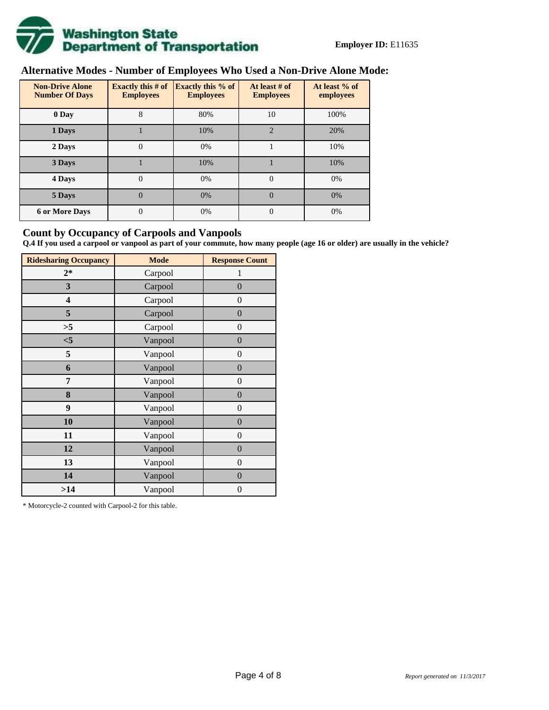

# **Alternative Modes - Number of Employees Who Used a Non-Drive Alone Mode:**

| <b>Non-Drive Alone</b><br><b>Number Of Days</b> | <b>Exactly this # of</b><br><b>Employees</b> | <b>Exactly this % of</b><br><b>Employees</b> | At least # of<br><b>Employees</b> | At least % of<br>employees |  |
|-------------------------------------------------|----------------------------------------------|----------------------------------------------|-----------------------------------|----------------------------|--|
| 0 Day                                           | 8                                            | 80%                                          | 10                                | 100%                       |  |
| 1 Days                                          |                                              | 10%                                          | $\overline{2}$                    | 20%                        |  |
| 2 Days                                          | $\overline{0}$                               | 0%                                           |                                   | 10%                        |  |
| 3 Days                                          |                                              | 10%                                          |                                   | 10%                        |  |
| 4 Days                                          | $\Omega$                                     | 0%                                           | $\Omega$                          | 0%                         |  |
| 5 Days                                          | 0                                            | 0%                                           | $\theta$                          | 0%                         |  |
| <b>6 or More Days</b>                           | $\theta$                                     | 0%                                           | $\Omega$                          | 0%                         |  |

#### **Count by Occupancy of Carpools and Vanpools**

**Q.4 If you used a carpool or vanpool as part of your commute, how many people (age 16 or older) are usually in the vehicle?**

| <b>Ridesharing Occupancy</b> | <b>Mode</b> | <b>Response Count</b> |
|------------------------------|-------------|-----------------------|
| $2*$                         | Carpool     | 1                     |
| 3                            | Carpool     | $\overline{0}$        |
| 4                            | Carpool     | $\theta$              |
| 5                            | Carpool     | $\overline{0}$        |
| >5                           | Carpool     | $\overline{0}$        |
| $<$ 5                        | Vanpool     | $\overline{0}$        |
| 5                            | Vanpool     | $\overline{0}$        |
| 6                            | Vanpool     | $\boldsymbol{0}$      |
| 7                            | Vanpool     | $\overline{0}$        |
| 8                            | Vanpool     | $\boldsymbol{0}$      |
| 9                            | Vanpool     | $\overline{0}$        |
| 10                           | Vanpool     | $\overline{0}$        |
| 11                           | Vanpool     | $\boldsymbol{0}$      |
| 12                           | Vanpool     | $\boldsymbol{0}$      |
| 13                           | Vanpool     | $\boldsymbol{0}$      |
| 14                           | Vanpool     | $\overline{0}$        |
| >14                          | Vanpool     | $\boldsymbol{0}$      |

\* Motorcycle-2 counted with Carpool-2 for this table.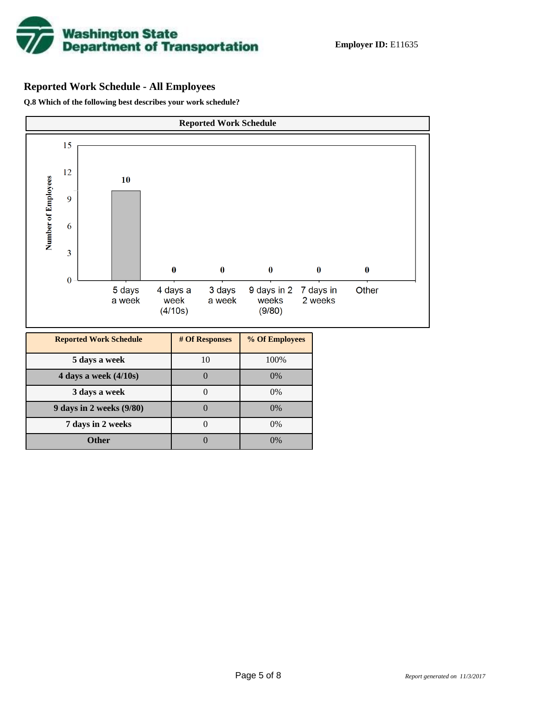

# **Reported Work Schedule - All Employees**

**Q.8 Which of the following best describes your work schedule?**

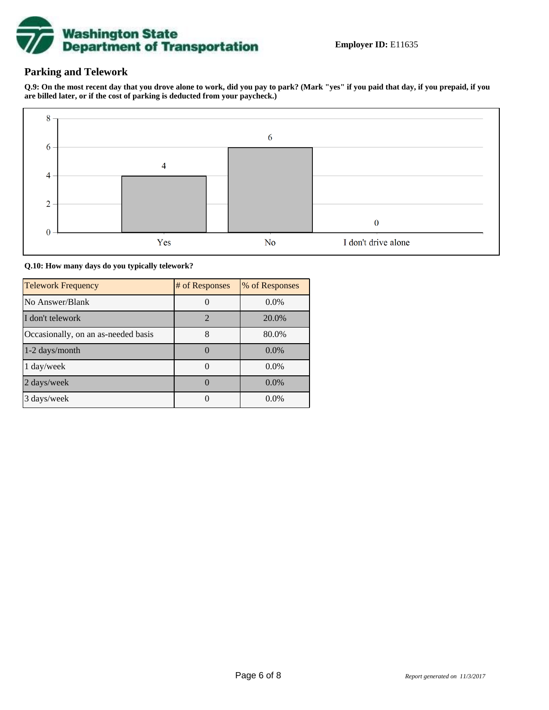

# **Parking and Telework**

**Q.9: On the most recent day that you drove alone to work, did you pay to park? (Mark "yes" if you paid that day, if you prepaid, if you are billed later, or if the cost of parking is deducted from your paycheck.)**



**Q.10: How many days do you typically telework?**

| <b>Telework Frequency</b>           | # of Responses | % of Responses |
|-------------------------------------|----------------|----------------|
| No Answer/Blank                     |                | $0.0\%$        |
| I don't telework                    | $\overline{2}$ | 20.0%          |
| Occasionally, on an as-needed basis |                | 80.0%          |
| 1-2 days/month                      |                | $0.0\%$        |
| 1 day/week                          |                | $0.0\%$        |
| 2 days/week                         |                | $0.0\%$        |
| 3 days/week                         |                | $0.0\%$        |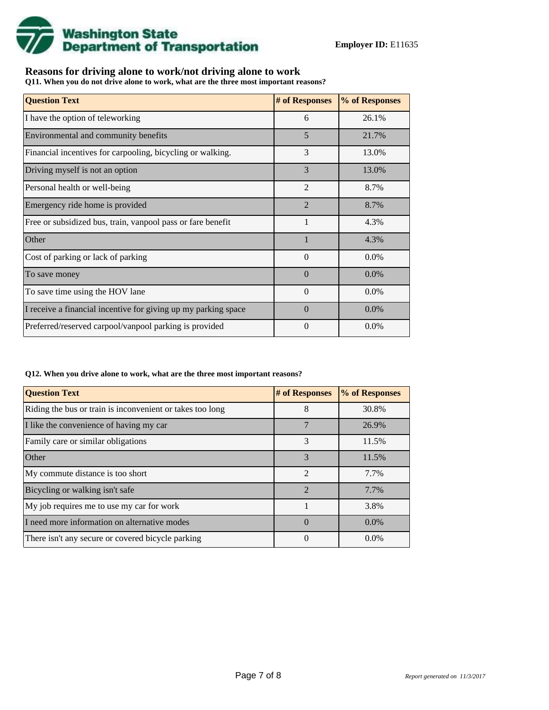

### **Reasons for driving alone to work/not driving alone to work**

**Q11. When you do not drive alone to work, what are the three most important reasons?**

| <b>Question Text</b>                                           | # of Responses | % of Responses |
|----------------------------------------------------------------|----------------|----------------|
| I have the option of teleworking                               | 6              | 26.1%          |
| Environmental and community benefits                           | 5              | 21.7%          |
| Financial incentives for carpooling, bicycling or walking.     | 3              | 13.0%          |
| Driving myself is not an option                                | 3              | 13.0%          |
| Personal health or well-being                                  | $\overline{2}$ | 8.7%           |
| Emergency ride home is provided                                | $\overline{2}$ | 8.7%           |
| Free or subsidized bus, train, vanpool pass or fare benefit    | 1              | 4.3%           |
| Other                                                          |                | 4.3%           |
| Cost of parking or lack of parking                             | $\Omega$       | $0.0\%$        |
| To save money                                                  | $\Omega$       | $0.0\%$        |
| To save time using the HOV lane                                | $\Omega$       | $0.0\%$        |
| I receive a financial incentive for giving up my parking space | $\Omega$       | $0.0\%$        |
| Preferred/reserved carpool/vanpool parking is provided         | $\theta$       | $0.0\%$        |

#### **Q12. When you drive alone to work, what are the three most important reasons?**

| <b>Question Text</b>                                      | # of Responses | % of Responses |
|-----------------------------------------------------------|----------------|----------------|
| Riding the bus or train is inconvenient or takes too long | 8              | 30.8%          |
| I like the convenience of having my car                   |                | 26.9%          |
| Family care or similar obligations                        | 3              | 11.5%          |
| <b>Other</b>                                              | 3              | 11.5%          |
| My commute distance is too short                          | $\mathfrak{D}$ | 7.7%           |
| Bicycling or walking isn't safe                           | $\mathfrak{D}$ | 7.7%           |
| My job requires me to use my car for work                 |                | 3.8%           |
| I need more information on alternative modes              | $\Omega$       | $0.0\%$        |
| There isn't any secure or covered bicycle parking         | $\Omega$       | $0.0\%$        |